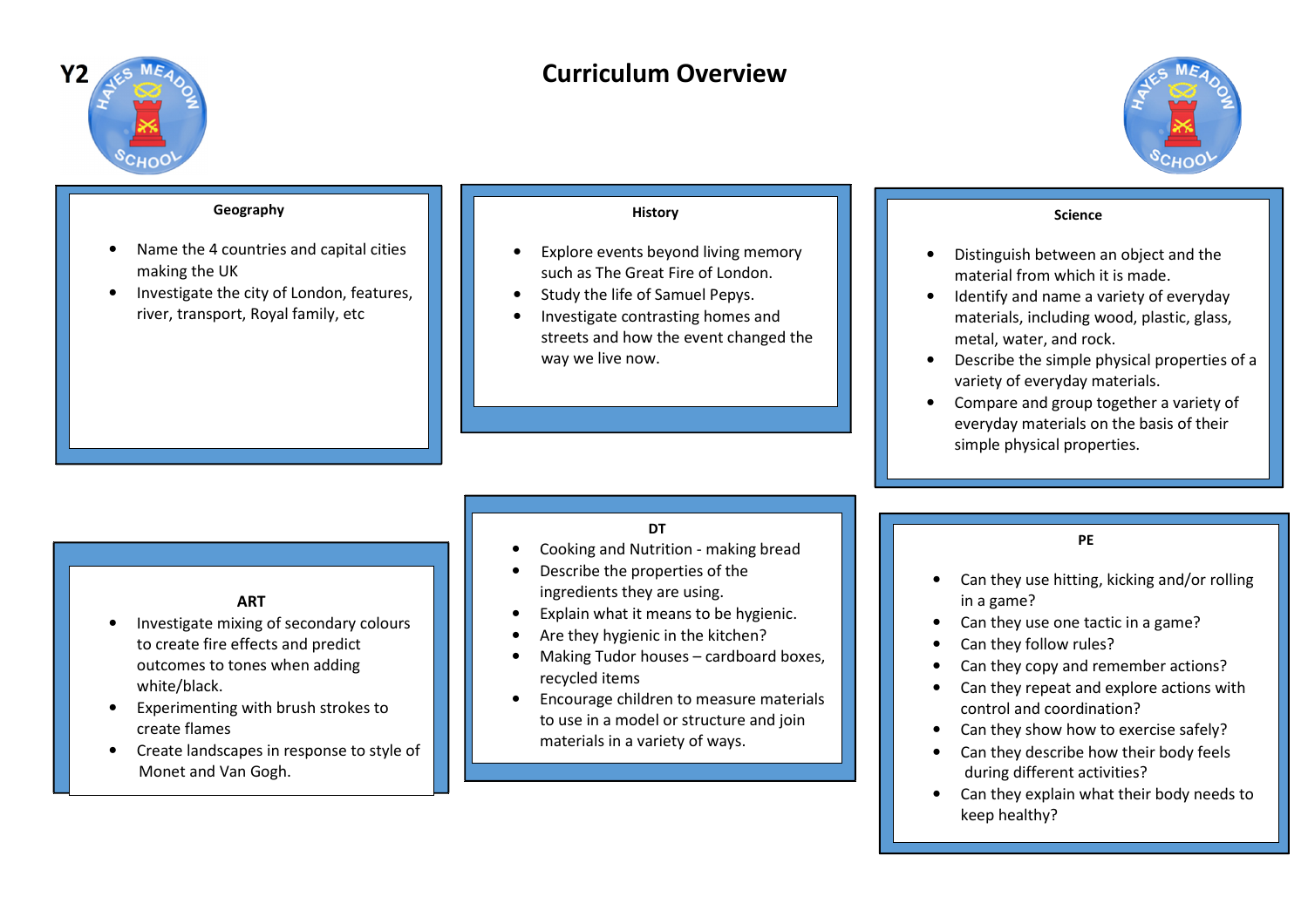

# **Curriculum Overview**



keep healthy?

#### **Geography**• Name the 4 countries and capital cities making the UK**•** Investigate the city of London, features, •river, transport, Royal family, etc**History**• Explore events beyond living memory such as The Great Fire of London. • Study the life of Samuel Pepys. • Investigate contrasting homes and streets and how the event changed the way we live now.**Science**• Distinguish between an object and the material from which it is made. • Identify and name a variety of everyday materials, including wood, plastic, glass, metal, water, and rock.• Describe the simple physical properties of avariety of everyday materials. • Compare and group together a variety of everyday materials on the basis of their simple physical properties.**DT** Cooking and Nutrition - making bread•• Describe the properties of the ingredients they are using.• Explain what it means to be hygienic. • Are they hygienic in the kitchen? Making Tudor houses – cardboard boxes, •recycled items**•** Encourage children to measure materials •to use in a model or structure and join materials in a variety of ways. **ART•** Investigate mixing of secondary colours •to create fire effects and predict outcomes to tones when adding white/black. • Experimenting with brush strokes to create flames Create landscapes in response to style of  $\bullet$  Monet and Van Gogh.**PE**• Can they use hitting, kicking and/or rolling in a game? Can they use one tactic in a game?•• Can they follow rules? Can they copy and remember actions?• Can they repeat and explore actions with •control and coordination? Can they show how to exercise safely?• Can they describe how their body feels • during different activities? • Can they explain what their body needs to